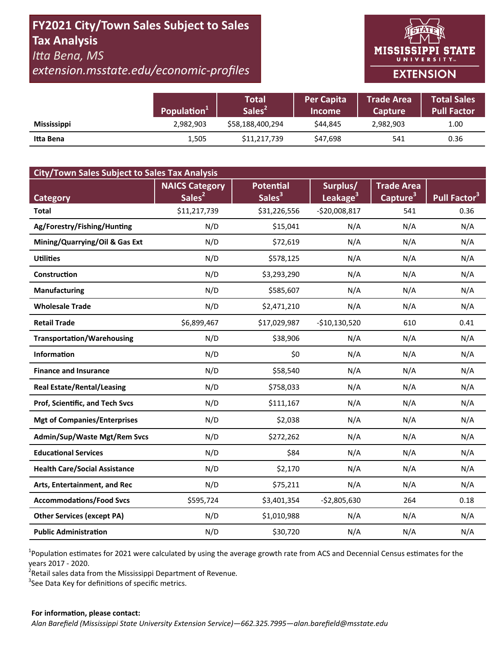# FY2021 City/Town Sales Subject to Sales **Tax Analysis** Itta Bena, MS

extension.msstate.edu/economic-profiles



|                    | Population <sup>1</sup> | <b>Total</b><br>Sales <sup>2</sup> | <b>Per Capita</b><br><b>Income</b> | <b>Trade Area</b><br><b>Capture</b> | <b>Total Sales</b><br><b>Pull Factor</b> |
|--------------------|-------------------------|------------------------------------|------------------------------------|-------------------------------------|------------------------------------------|
| <b>Mississippi</b> | 2,982,903               | \$58,188,400,294                   | \$44.845                           | 2,982,903                           | 1.00                                     |
| Itta Bena          | 1,505                   | \$11,217,739                       | \$47,698                           | 541                                 | 0.36                                     |

| <b>City/Town Sales Subject to Sales Tax Analysis</b> |                                             |                                        |                                  |                                           |                          |  |  |  |  |
|------------------------------------------------------|---------------------------------------------|----------------------------------------|----------------------------------|-------------------------------------------|--------------------------|--|--|--|--|
| Category                                             | <b>NAICS Category</b><br>Sales <sup>2</sup> | <b>Potential</b><br>Sales <sup>3</sup> | Surplus/<br>Leakage <sup>3</sup> | <b>Trade Area</b><br>Capture <sup>3</sup> | Pull Factor <sup>3</sup> |  |  |  |  |
| <b>Total</b>                                         | \$11,217,739                                | \$31,226,556                           | $-$20,008,817$                   | 541                                       | 0.36                     |  |  |  |  |
| Ag/Forestry/Fishing/Hunting                          | N/D                                         | \$15,041                               | N/A                              | N/A                                       | N/A                      |  |  |  |  |
| Mining/Quarrying/Oil & Gas Ext                       | N/D                                         | \$72,619                               | N/A                              | N/A                                       | N/A                      |  |  |  |  |
| <b>Utilities</b>                                     | N/D                                         | \$578,125                              | N/A                              | N/A                                       | N/A                      |  |  |  |  |
| Construction                                         | N/D                                         | \$3,293,290                            | N/A                              | N/A                                       | N/A                      |  |  |  |  |
| <b>Manufacturing</b>                                 | N/D                                         | \$585,607                              | N/A                              | N/A                                       | N/A                      |  |  |  |  |
| <b>Wholesale Trade</b>                               | N/D                                         | \$2,471,210                            | N/A                              | N/A                                       | N/A                      |  |  |  |  |
| <b>Retail Trade</b>                                  | \$6,899,467                                 | \$17,029,987                           | $-$10,130,520$                   | 610                                       | 0.41                     |  |  |  |  |
| <b>Transportation/Warehousing</b>                    | N/D                                         | \$38,906                               | N/A                              | N/A                                       | N/A                      |  |  |  |  |
| <b>Information</b>                                   | N/D                                         | \$0                                    | N/A                              | N/A                                       | N/A                      |  |  |  |  |
| <b>Finance and Insurance</b>                         | N/D                                         | \$58,540                               | N/A                              | N/A                                       | N/A                      |  |  |  |  |
| <b>Real Estate/Rental/Leasing</b>                    | N/D                                         | \$758,033                              | N/A                              | N/A                                       | N/A                      |  |  |  |  |
| Prof, Scientific, and Tech Svcs                      | N/D                                         | \$111,167                              | N/A                              | N/A                                       | N/A                      |  |  |  |  |
| <b>Mgt of Companies/Enterprises</b>                  | N/D                                         | \$2,038                                | N/A                              | N/A                                       | N/A                      |  |  |  |  |
| Admin/Sup/Waste Mgt/Rem Svcs                         | N/D                                         | \$272,262                              | N/A                              | N/A                                       | N/A                      |  |  |  |  |
| <b>Educational Services</b>                          | N/D                                         | \$84                                   | N/A                              | N/A                                       | N/A                      |  |  |  |  |
| <b>Health Care/Social Assistance</b>                 | N/D                                         | \$2,170                                | N/A                              | N/A                                       | N/A                      |  |  |  |  |
| Arts, Entertainment, and Rec                         | N/D                                         | \$75,211                               | N/A                              | N/A                                       | N/A                      |  |  |  |  |
| <b>Accommodations/Food Svcs</b>                      | \$595,724                                   | \$3,401,354                            | $-$2,805,630$                    | 264                                       | 0.18                     |  |  |  |  |
| <b>Other Services (except PA)</b>                    | N/D                                         | \$1,010,988                            | N/A                              | N/A                                       | N/A                      |  |  |  |  |
| <b>Public Administration</b>                         | N/D                                         | \$30,720                               | N/A                              | N/A                                       | N/A                      |  |  |  |  |

<sup>1</sup>Population estimates for 2021 were calculated by using the average growth rate from ACS and Decennial Census estimates for the years 2017 - 2020.

<sup>2</sup>Retail sales data from the Mississippi Department of Revenue.

<sup>3</sup>See Data Key for definitions of specific metrics.

#### For information, please contact: Alan Barefield (Mississippi State University Extension Service)-662.325.7995-alan.barefield@msstate.edu